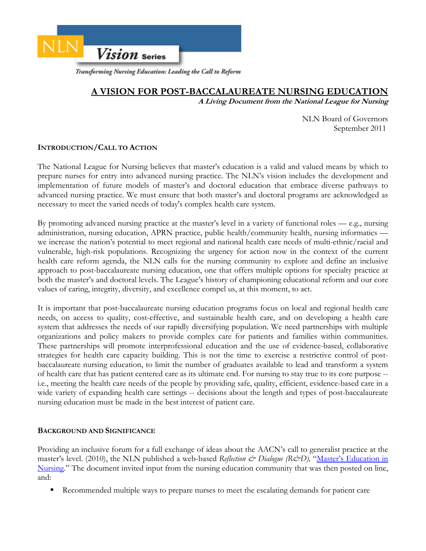

Transforming Nursing Education: Leading the Call to Reform

# **A VISION FOR POST-BACCALAUREATE NURSING EDUCATION**

**A Living Document from the National League for Nursing** 

NLN Board of Governors September 2011

# **INTRODUCTION/CALL TO ACTION**

The National League for Nursing believes that master's education is a valid and valued means by which to prepare nurses for entry into advanced nursing practice. The NLN's vision includes the development and implementation of future models of master's and doctoral education that embrace diverse pathways to advanced nursing practice. We must ensure that both master's and doctoral programs are acknowledged as necessary to meet the varied needs of today's complex health care system.

By promoting advanced nursing practice at the master's level in a variety of functional roles — e.g., nursing administration, nursing education, APRN practice, public health/community health, nursing informatics we increase the nation's potential to meet regional and national health care needs of multi-ethnic/racial and vulnerable, high-risk populations. Recognizing the urgency for action now in the context of the current health care reform agenda, the NLN calls for the nursing community to explore and define an inclusive approach to post-baccalaureate nursing education, one that offers multiple options for specialty practice at both the master's and doctoral levels. The League's history of championing educational reform and our core values of caring, integrity, diversity, and excellence compel us, at this moment, to act.

It is important that post-baccalaureate nursing education programs focus on local and regional health care needs, on access to quality, cost-effective, and sustainable health care, and on developing a health care system that addresses the needs of our rapidly diversifying population. We need partnerships with multiple organizations and policy makers to provide complex care for patients and families within communities. These partnerships will promote interprofessional education and the use of evidence-based, collaborative strategies for health care capacity building. This is not the time to exercise a restrictive control of postbaccalaureate nursing education, to limit the number of graduates available to lead and transform a system of health care that has patient centered care as its ultimate end. For nursing to stay true to its core purpose - i.e., meeting the health care needs of the people by providing safe, quality, efficient, evidence-based care in a wide variety of expanding health care settings -- decisions about the length and types of post-baccalaureate nursing education must be made in the best interest of patient care.

# **BACKGROUND AND SIGNIFICANCE**

Providing an inclusive forum for a full exchange of ideas about the AACN's call to generalist practice at the master's level. (2010), the NLN published a web-based *Reflection & Dialogue (R&D)*, "Master's Education in [Nursing." The document invited input from the nursing education community that was then posted on line,](http://www.nln.org/aboutnln/reflection_dialogue/refl_dial_6.htm) and:

Recommended multiple ways to prepare nurses to meet the escalating demands for patient care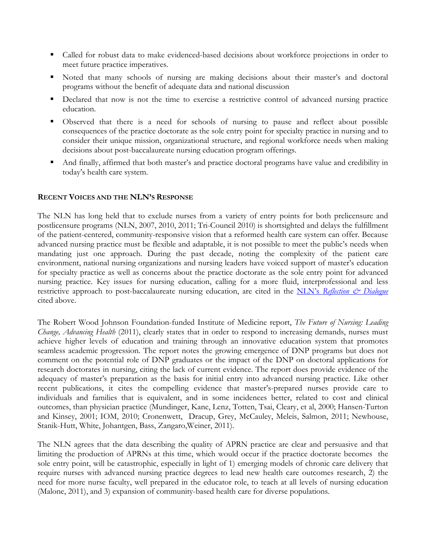- Called for robust data to make evidenced-based decisions about workforce projections in order to meet future practice imperatives.
- Noted that many schools of nursing are making decisions about their master's and doctoral programs without the benefit of adequate data and national discussion
- Declared that now is not the time to exercise a restrictive control of advanced nursing practice education.
- Observed that there is a need for schools of nursing to pause and reflect about possible consequences of the practice doctorate as the sole entry point for specialty practice in nursing and to consider their unique mission, organizational structure, and regional workforce needs when making decisions about post-baccalaureate nursing education program offerings.
- And finally, affirmed that both master's and practice doctoral programs have value and credibility in today's health care system.

# **RECENT VOICES AND THE NLN'S RESPONSE**

The NLN has long held that to exclude nurses from a variety of entry points for both prelicensure and postlicensure programs (NLN, 2007, 2010, 2011; Tri-Council 2010) is shortsighted and delays the fulfillment of the patient-centered, community-responsive vision that a reformed health care system can offer. Because advanced nursing practice must be flexible and adaptable, it is not possible to meet the public's needs when mandating just one approach. During the past decade, noting the complexity of the patient care environment, national nursing organizations and nursing leaders have voiced support of master's education for specialty practice as well as concerns about the practice doctorate as the sole entry point for advanced nursing practice. Key issues for nursing education, calling for a more fluid, interprofessional and less restrictive approach to post-baccalaureate nursing education, are cited in the NLN's *Reflection*  $\dot{\mathcal{O}}$  *Dialogue* cited above.

The Robert Wood Johnson Foundation-funded Institute of Medicine report, *The Future of Nursing: Leading Change, Advancing Health* (2011), clearly states that in order to respond to increasing demands, nurses must achieve higher levels of education and training through an innovative education system that promotes seamless academic progression. The report notes the growing emergence of DNP programs but does not comment on the potential role of DNP graduates or the impact of the DNP on doctoral applications for research doctorates in nursing, citing the lack of current evidence. The report does provide evidence of the adequacy of master's preparation as the basis for initial entry into advanced nursing practice. Like other recent publications, it cites the compelling evidence that master's-prepared nurses provide care to individuals and families that is equivalent, and in some incidences better, related to cost and clinical outcomes, than physician practice (Mundinger, Kane, Lenz, Totten, Tsai, Cleary, et al, 2000; Hansen-Turton and Kinsey, 2001; IOM, 2010; Cronenwett, Dracup, Grey, McCauley, Meleis, Salmon, 2011; Newhouse, Stanik-Hutt, White, Johantgen, Bass, Zangaro,Weiner, 2011).

The NLN agrees that the data describing the quality of APRN practice are clear and persuasive and that limiting the production of APRNs at this time, which would occur if the practice doctorate becomes the sole entry point, will be catastrophic, especially in light of 1) emerging models of chronic care delivery that require nurses with advanced nursing practice degrees to lead new health care outcomes research, 2) the need for more nurse faculty, well prepared in the educator role, to teach at all levels of nursing education (Malone, 2011), and 3) expansion of community-based health care for diverse populations.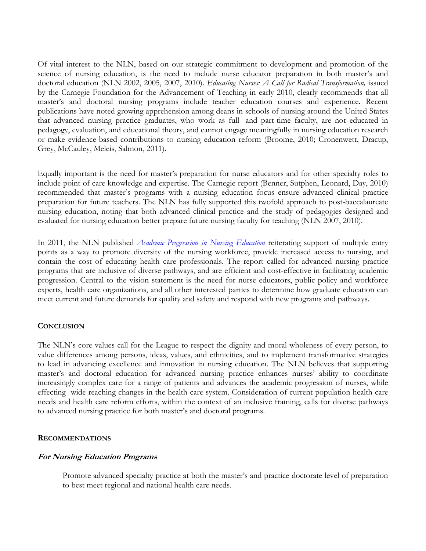Of vital interest to the NLN, based on our strategic commitment to development and promotion of the science of nursing education, is the need to include nurse educator preparation in both master's and doctoral education (NLN 2002, 2005, 2007, 2010). *Educating Nurses: A Call for Radical Transformation,* issued by the Carnegie Foundation for the Advancement of Teaching in early 2010, clearly recommends that all master's and doctoral nursing programs include teacher education courses and experience. Recent publications have noted growing apprehension among deans in schools of nursing around the United States that advanced nursing practice graduates, who work as full- and part-time faculty, are not educated in pedagogy, evaluation, and educational theory, and cannot engage meaningfully in nursing education research or make evidence-based contributions to nursing education reform (Broome, 2010; Cronenwett, Dracup, Grey, McCauley, Meleis, Salmon, 2011).

Equally important is the need for master's preparation for nurse educators and for other specialty roles to include point of care knowledge and expertise. The Carnegie report (Benner, Sutphen, Leonard, Day, 2010) recommended that master's programs with a nursing education focus ensure advanced clinical practice preparation for future teachers. The NLN has fully supported this twofold approach to post-baccalaureate nursing education, noting that both advanced clinical practice and the study of pedagogies designed and evaluated for nursing education better prepare future nursing faculty for teaching (NLN 2007, 2010).

In 2011, the NLN published *[Academic Progression in Nursing Education](http://www.nln.org/aboutnln/livingdocuments/pdf/nlnvision_1.pdf)* reiterating support of multiple entry points as a way to promote diversity of the nursing workforce, provide increased access to nursing, and contain the cost of educating health care professionals. The report called for advanced nursing practice programs that are inclusive of diverse pathways, and are efficient and cost-effective in facilitating academic progression. Central to the vision statement is the need for nurse educators, public policy and workforce experts, health care organizations, and all other interested parties to determine how graduate education can meet current and future demands for quality and safety and respond with new programs and pathways.

# **CONCLUSION**

The NLN's core values call for the League to respect the dignity and moral wholeness of every person, to value differences among persons, ideas, values, and ethnicities, and to implement transformative strategies to lead in advancing excellence and innovation in nursing education. The NLN believes that supporting master's and doctoral education for advanced nursing practice enhances nurses' ability to coordinate increasingly complex care for a range of patients and advances the academic progression of nurses, while effecting wide-reaching changes in the health care system. Consideration of current population health care needs and health care reform efforts, within the context of an inclusive framing, calls for diverse pathways to advanced nursing practice for both master's and doctoral programs.

#### **RECOMMENDATIONS**

#### **For Nursing Education Programs**

Promote advanced specialty practice at both the master's and practice doctorate level of preparation to best meet regional and national health care needs.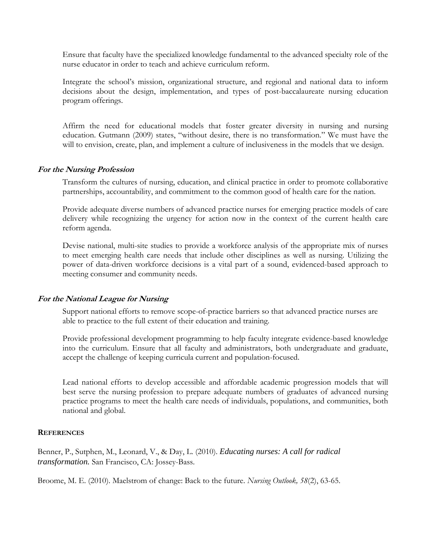Ensure that faculty have the specialized knowledge fundamental to the advanced specialty role of the nurse educator in order to teach and achieve curriculum reform.

Integrate the school's mission, organizational structure, and regional and national data to inform decisions about the design, implementation, and types of post-baccalaureate nursing education program offerings.

Affirm the need for educational models that foster greater diversity in nursing and nursing education. Gutmann (2009) states, "without desire, there is no transformation." We must have the will to envision, create, plan, and implement a culture of inclusiveness in the models that we design.

#### **For the Nursing Profession**

Transform the cultures of nursing, education, and clinical practice in order to promote collaborative partnerships, accountability, and commitment to the common good of health care for the nation.

Provide adequate diverse numbers of advanced practice nurses for emerging practice models of care delivery while recognizing the urgency for action now in the context of the current health care reform agenda.

Devise national, multi-site studies to provide a workforce analysis of the appropriate mix of nurses to meet emerging health care needs that include other disciplines as well as nursing. Utilizing the power of data-driven workforce decisions is a vital part of a sound, evidenced-based approach to meeting consumer and community needs.

# **For the National League for Nursing**

Support national efforts to remove scope-of-practice barriers so that advanced practice nurses are able to practice to the full extent of their education and training.

Provide professional development programming to help faculty integrate evidence-based knowledge into the curriculum. Ensure that all faculty and administrators, both undergraduate and graduate, accept the challenge of keeping curricula current and population-focused.

Lead national efforts to develop accessible and affordable academic progression models that will best serve the nursing profession to prepare adequate numbers of graduates of advanced nursing practice programs to meet the health care needs of individuals, populations, and communities, both national and global.

# **REFERENCES**

Benner, P., Sutphen, M., Leonard, V., & Day, L. (2010). *Educating nurses: A call for radical transformation.* San Francisco, CA: Jossey-Bass.

Broome, M. E. (2010). Maelstrom of change: Back to the future. *Nursing Outlook, 58*(2), 63-65.